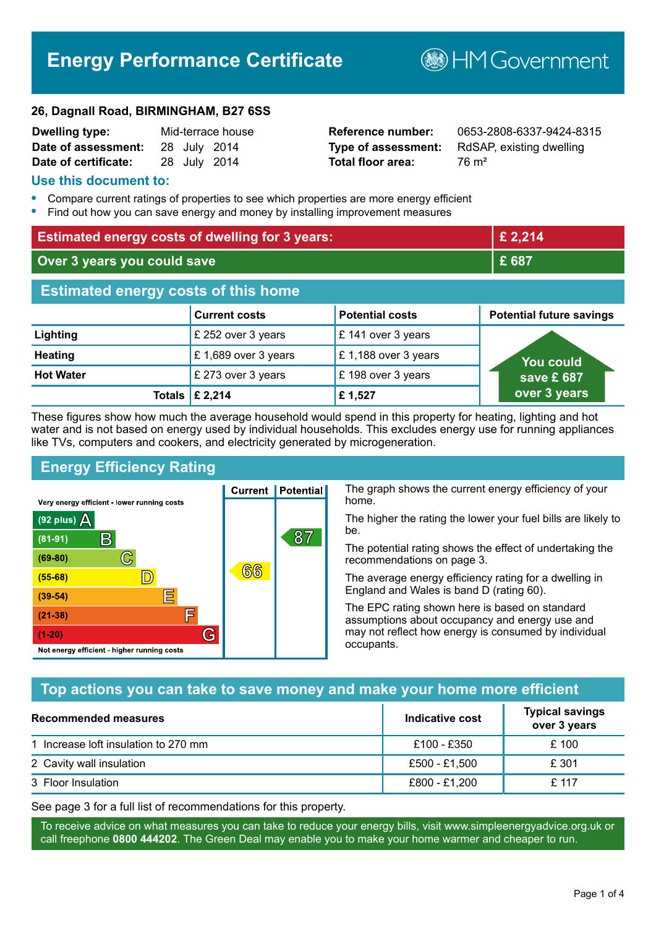# **Energy Performance Certificate**

#### **26, Dagnall Road, BIRMINGHAM, B27 6SS**

| <b>Dwelling type:</b> |  | Mid-terrace house |
|-----------------------|--|-------------------|
| Date of assessment:   |  | 28 July 2014      |
| Date of certificate:  |  | 28 July 2014      |

# **Total floor area:** 76 m<sup>2</sup>

**Reference number:** 0653-2808-6337-9424-8315 **Type of assessment:** RdSAP, existing dwelling

**B**HM Government

#### **Use this document to:**

- **•** Compare current ratings of properties to see which properties are more energy efficient
- **•** Find out how you can save energy and money by installing improvement measures

| <b>Estimated energy costs of dwelling for 3 years:</b> |                           |                        | £ 2,214                         |
|--------------------------------------------------------|---------------------------|------------------------|---------------------------------|
| Over 3 years you could save                            |                           | £ 687                  |                                 |
| <b>Estimated energy costs of this home</b>             |                           |                        |                                 |
|                                                        | <b>Current costs</b>      | <b>Potential costs</b> | <b>Potential future savings</b> |
| Lighting                                               | £ 252 over 3 years        | £ 141 over 3 years     |                                 |
| <b>Heating</b>                                         | £1,689 over 3 years       | £1,188 over 3 years    | <u>You could</u>                |
| <b>Hot Water</b>                                       | £ 273 over 3 years        | £198 over 3 years      | save £ $687$                    |
|                                                        | Totals $\mathsf{E}$ 2,214 | £1,527                 | over 3 years                    |

These figures show how much the average household would spend in this property for heating, lighting and hot water and is not based on energy used by individual households. This excludes energy use for running appliances like TVs, computers and cookers, and electricity generated by microgeneration.

**Current | Potential** 

 $(6)$ ගි

87

# **Energy Efficiency Rating**

 $\mathbb{C}$ 

D)

IΞ

E

G

Very energy efficient - lower running costs

R

Not energy efficient - higher running costs

 $(92$  plus)

 $(81 - 91)$  $(69 - 80)$ 

 $(55-68)$  $(39 - 54)$ 

 $(21-38)$ 

 $(1-20)$ 

- 78

The graph shows the current energy efficiency of your home.

The higher the rating the lower your fuel bills are likely to be.

The potential rating shows the effect of undertaking the recommendations on page 3.

The average energy efficiency rating for a dwelling in England and Wales is band D (rating 60).

The EPC rating shown here is based on standard assumptions about occupancy and energy use and may not reflect how energy is consumed by individual occupants.

## **Top actions you can take to save money and make your home more efficient**

| <b>Recommended measures</b>          | Indicative cost | <b>Typical savings</b><br>over 3 years |
|--------------------------------------|-----------------|----------------------------------------|
| 1 Increase loft insulation to 270 mm | £100 - £350     | £100                                   |
| 2 Cavity wall insulation             | £500 - £1,500   | £ 301                                  |
| 3 Floor Insulation                   | £800 - £1,200   | £117                                   |

See page 3 for a full list of recommendations for this property.

To receive advice on what measures you can take to reduce your energy bills, visit www.simpleenergyadvice.org.uk or call freephone **0800 444202**. The Green Deal may enable you to make your home warmer and cheaper to run.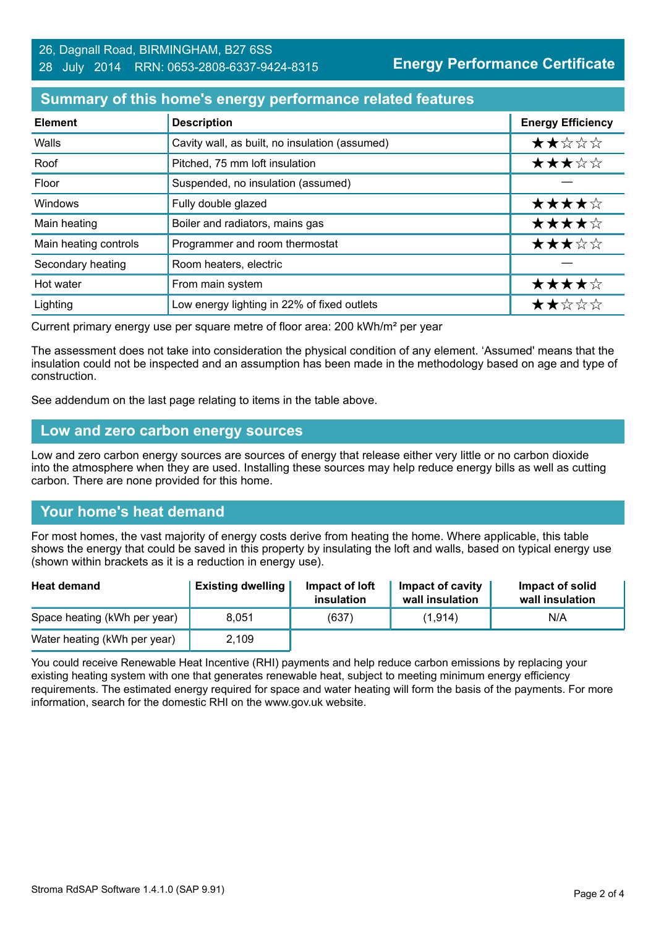#### **Summary of this home's energy performance related features**

| <b>Element</b>        | <b>Description</b>                             | <b>Energy Efficiency</b> |
|-----------------------|------------------------------------------------|--------------------------|
| Walls                 | Cavity wall, as built, no insulation (assumed) | ★★☆☆☆                    |
| Roof                  | Pitched, 75 mm loft insulation                 | ★★★☆☆                    |
| Floor                 | Suspended, no insulation (assumed)             |                          |
| <b>Windows</b>        | Fully double glazed                            | ★★★★☆                    |
| Main heating          | Boiler and radiators, mains gas                | ★★★★☆                    |
| Main heating controls | Programmer and room thermostat                 | ★★★☆☆                    |
| Secondary heating     | Room heaters, electric                         |                          |
| Hot water             | From main system                               | ★★★★☆                    |
| Lighting              | Low energy lighting in 22% of fixed outlets    | ★★☆☆☆                    |

Current primary energy use per square metre of floor area: 200 kWh/m² per year

The assessment does not take into consideration the physical condition of any element. 'Assumed' means that the insulation could not be inspected and an assumption has been made in the methodology based on age and type of construction.

See addendum on the last page relating to items in the table above.

#### **Low and zero carbon energy sources**

Low and zero carbon energy sources are sources of energy that release either very little or no carbon dioxide into the atmosphere when they are used. Installing these sources may help reduce energy bills as well as cutting carbon. There are none provided for this home.

## **Your home's heat demand**

For most homes, the vast majority of energy costs derive from heating the home. Where applicable, this table shows the energy that could be saved in this property by insulating the loft and walls, based on typical energy use (shown within brackets as it is a reduction in energy use).

| <b>Heat demand</b>           | <b>Existing dwelling</b> | Impact of loft<br>insulation | Impact of cavity<br>wall insulation | Impact of solid<br>wall insulation |
|------------------------------|--------------------------|------------------------------|-------------------------------------|------------------------------------|
| Space heating (kWh per year) | 8.051                    | (637)                        | (1, 914)                            | N/A                                |
| Water heating (kWh per year) | 2,109                    |                              |                                     |                                    |

You could receive Renewable Heat Incentive (RHI) payments and help reduce carbon emissions by replacing your existing heating system with one that generates renewable heat, subject to meeting minimum energy efficiency requirements. The estimated energy required for space and water heating will form the basis of the payments. For more information, search for the domestic RHI on the www.gov.uk website.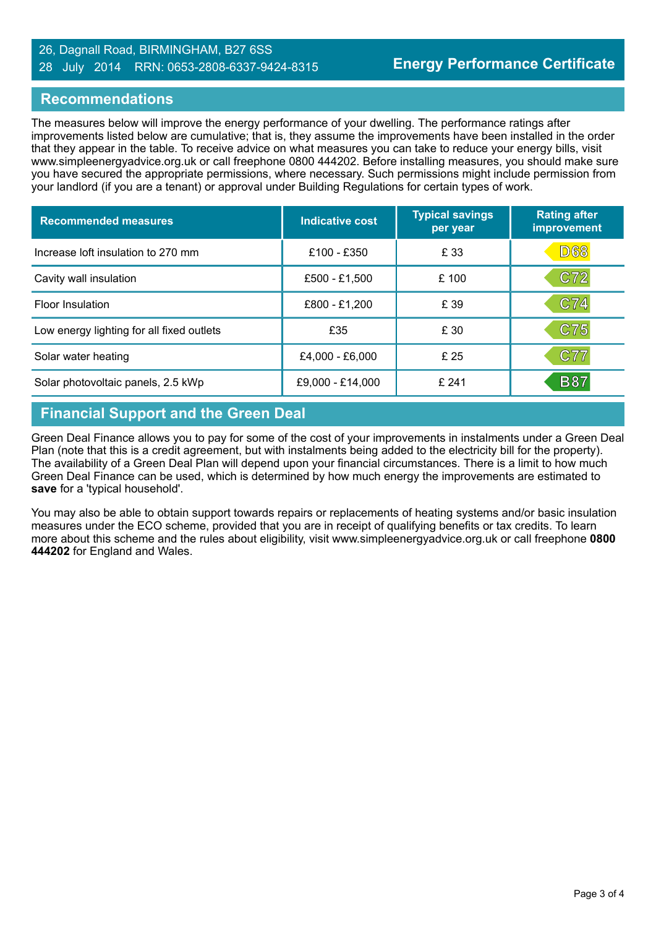#### 26, Dagnall Road, BIRMINGHAM, B27 6SS 28 July 2014 RRN: 0653-2808-6337-9424-8315

#### **Recommendations**

The measures below will improve the energy performance of your dwelling. The performance ratings after improvements listed below are cumulative; that is, they assume the improvements have been installed in the order that they appear in the table. To receive advice on what measures you can take to reduce your energy bills, visit www.simpleenergyadvice.org.uk or call freephone 0800 444202. Before installing measures, you should make sure you have secured the appropriate permissions, where necessary. Such permissions might include permission from your landlord (if you are a tenant) or approval under Building Regulations for certain types of work.

| <b>Recommended measures</b>               | Indicative cost  | <b>Typical savings</b><br>per year | <b>Rating after</b><br>improvement |
|-------------------------------------------|------------------|------------------------------------|------------------------------------|
| Increase loft insulation to 270 mm        | £100 - £350      | £ 33                               | <b>D68</b>                         |
| Cavity wall insulation                    | £500 - £1,500    | £100                               | C72                                |
| <b>Floor Insulation</b>                   | £800 - £1,200    | £ 39                               | C74                                |
| Low energy lighting for all fixed outlets | £35              | £ 30                               | C75                                |
| Solar water heating                       | £4,000 - £6,000  | £25                                | C77                                |
| Solar photovoltaic panels, 2.5 kWp        | £9,000 - £14,000 | £241                               | <b>B87</b>                         |

# **Financial Support and the Green Deal**

Green Deal Finance allows you to pay for some of the cost of your improvements in instalments under a Green Deal Plan (note that this is a credit agreement, but with instalments being added to the electricity bill for the property). The availability of a Green Deal Plan will depend upon your financial circumstances. There is a limit to how much Green Deal Finance can be used, which is determined by how much energy the improvements are estimated to **save** for a 'typical household'.

You may also be able to obtain support towards repairs or replacements of heating systems and/or basic insulation measures under the ECO scheme, provided that you are in receipt of qualifying benefits or tax credits. To learn more about this scheme and the rules about eligibility, visit www.simpleenergyadvice.org.uk or call freephone **0800 444202** for England and Wales.